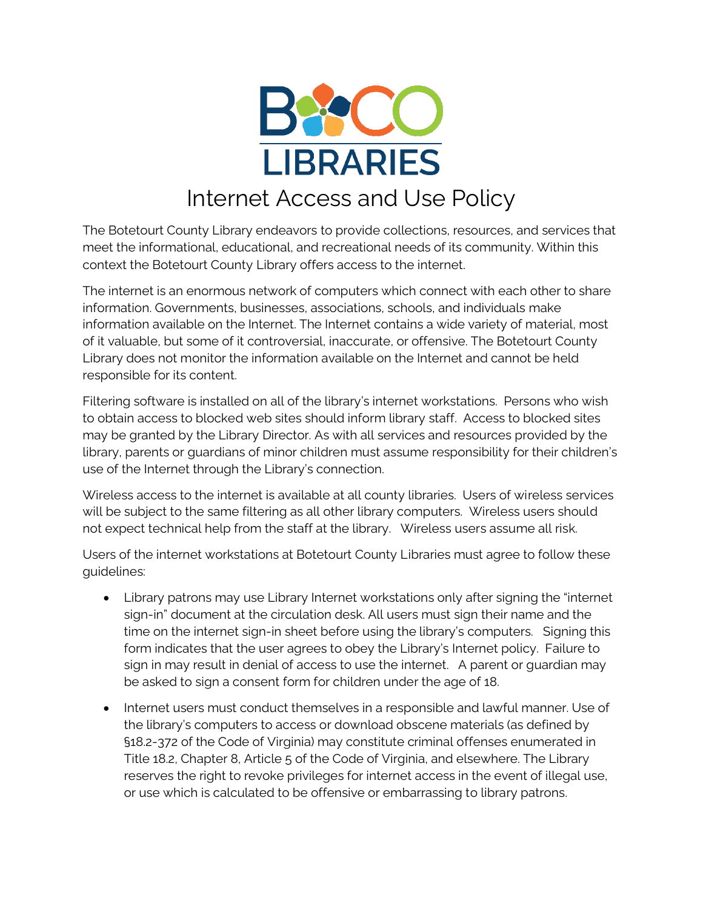

## Internet Access and Use Policy

The Botetourt County Library endeavors to provide collections, resources, and services that meet the informational, educational, and recreational needs of its community. Within this context the Botetourt County Library offers access to the internet.

The internet is an enormous network of computers which connect with each other to share information. Governments, businesses, associations, schools, and individuals make information available on the Internet. The Internet contains a wide variety of material, most of it valuable, but some of it controversial, inaccurate, or offensive. The Botetourt County Library does not monitor the information available on the Internet and cannot be held responsible for its content.

Filtering software is installed on all of the library's internet workstations. Persons who wish to obtain access to blocked web sites should inform library staff. Access to blocked sites may be granted by the Library Director. As with all services and resources provided by the library, parents or guardians of minor children must assume responsibility for their children's use of the Internet through the Library's connection.

Wireless access to the internet is available at all county libraries. Users of wireless services will be subject to the same filtering as all other library computers. Wireless users should not expect technical help from the staff at the library. Wireless users assume all risk.

Users of the internet workstations at Botetourt County Libraries must agree to follow these guidelines:

- Library patrons may use Library Internet workstations only after signing the "internet sign-in" document at the circulation desk. All users must sign their name and the time on the internet sign-in sheet before using the library's computers. Signing this form indicates that the user agrees to obey the Library's Internet policy. Failure to sign in may result in denial of access to use the internet. A parent or guardian may be asked to sign a consent form for children under the age of 18.
- Internet users must conduct themselves in a responsible and lawful manner. Use of the library's computers to access or download obscene materials (as defined by §18.2-372 of the Code of Virginia) may constitute criminal offenses enumerated in Title 18.2, Chapter 8, Article 5 of the Code of Virginia, and elsewhere. The Library reserves the right to revoke privileges for internet access in the event of illegal use, or use which is calculated to be offensive or embarrassing to library patrons.